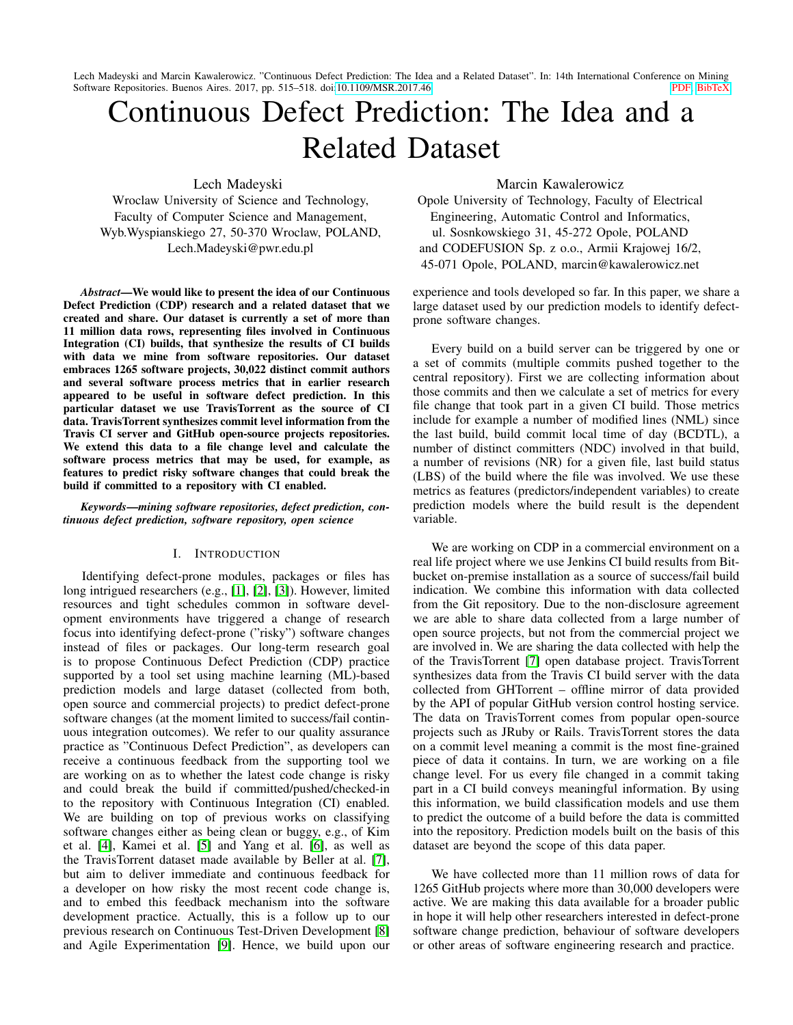Lech Madeyski and Marcin Kawalerowicz. "Continuous Defect Prediction: The Idea and a Related Dataset". In: 14th International Conference on Mining Software Repositories. Buenos Aires. 2017, pp. 515–518. doi[:10.1109/MSR.2017.46.](http://dx.doi.org/10.1109/MSR.2017.46) [PDF,](http://madeyski.e-informatyka.pl/download/MadeyskiKawalerowiczMSR17.pdf) Physical PDF, [BibTeX](http://madeyski.e-informatyka.pl/download/MadeyskiRefs.bib)

# Continuous Defect Prediction: The Idea and a Related Dataset

Lech Madeyski

Wroclaw University of Science and Technology, Faculty of Computer Science and Management, Wyb.Wyspianskiego 27, 50-370 Wroclaw, POLAND, Lech.Madeyski@pwr.edu.pl

*Abstract*—We would like to present the idea of our Continuous Defect Prediction (CDP) research and a related dataset that we created and share. Our dataset is currently a set of more than 11 million data rows, representing files involved in Continuous Integration (CI) builds, that synthesize the results of CI builds with data we mine from software repositories. Our dataset embraces 1265 software projects, 30,022 distinct commit authors and several software process metrics that in earlier research appeared to be useful in software defect prediction. In this particular dataset we use TravisTorrent as the source of CI data. TravisTorrent synthesizes commit level information from the Travis CI server and GitHub open-source projects repositories. We extend this data to a file change level and calculate the software process metrics that may be used, for example, as features to predict risky software changes that could break the build if committed to a repository with CI enabled.

*Keywords*—*mining software repositories, defect prediction, continuous defect prediction, software repository, open science*

# I. INTRODUCTION

Identifying defect-prone modules, packages or files has long intrigued researchers (e.g., [\[1\]](#page-3-0), [\[2\]](#page-3-1), [\[3\]](#page-3-2)). However, limited resources and tight schedules common in software development environments have triggered a change of research focus into identifying defect-prone ("risky") software changes instead of files or packages. Our long-term research goal is to propose Continuous Defect Prediction (CDP) practice supported by a tool set using machine learning (ML)-based prediction models and large dataset (collected from both, open source and commercial projects) to predict defect-prone software changes (at the moment limited to success/fail continuous integration outcomes). We refer to our quality assurance practice as "Continuous Defect Prediction", as developers can receive a continuous feedback from the supporting tool we are working on as to whether the latest code change is risky and could break the build if committed/pushed/checked-in to the repository with Continuous Integration (CI) enabled. We are building on top of previous works on classifying software changes either as being clean or buggy, e.g., of Kim et al. [\[4\]](#page-3-3), Kamei et al. [\[5\]](#page-3-4) and Yang et al. [\[6\]](#page-3-5), as well as the TravisTorrent dataset made available by Beller at al. [\[7\]](#page-3-6), but aim to deliver immediate and continuous feedback for a developer on how risky the most recent code change is, and to embed this feedback mechanism into the software development practice. Actually, this is a follow up to our previous research on Continuous Test-Driven Development [\[8\]](#page-3-7) and Agile Experimentation [\[9\]](#page-3-8). Hence, we build upon our Marcin Kawalerowicz

Opole University of Technology, Faculty of Electrical Engineering, Automatic Control and Informatics, ul. Sosnkowskiego 31, 45-272 Opole, POLAND and CODEFUSION Sp. z o.o., Armii Krajowej 16/2, 45-071 Opole, POLAND, marcin@kawalerowicz.net

experience and tools developed so far. In this paper, we share a large dataset used by our prediction models to identify defectprone software changes.

Every build on a build server can be triggered by one or a set of commits (multiple commits pushed together to the central repository). First we are collecting information about those commits and then we calculate a set of metrics for every file change that took part in a given CI build. Those metrics include for example a number of modified lines (NML) since the last build, build commit local time of day (BCDTL), a number of distinct committers (NDC) involved in that build, a number of revisions (NR) for a given file, last build status (LBS) of the build where the file was involved. We use these metrics as features (predictors/independent variables) to create prediction models where the build result is the dependent variable.

We are working on CDP in a commercial environment on a real life project where we use Jenkins CI build results from Bitbucket on-premise installation as a source of success/fail build indication. We combine this information with data collected from the Git repository. Due to the non-disclosure agreement we are able to share data collected from a large number of open source projects, but not from the commercial project we are involved in. We are sharing the data collected with help the of the TravisTorrent [\[7\]](#page-3-6) open database project. TravisTorrent synthesizes data from the Travis CI build server with the data collected from GHTorrent – offline mirror of data provided by the API of popular GitHub version control hosting service. The data on TravisTorrent comes from popular open-source projects such as JRuby or Rails. TravisTorrent stores the data on a commit level meaning a commit is the most fine-grained piece of data it contains. In turn, we are working on a file change level. For us every file changed in a commit taking part in a CI build conveys meaningful information. By using this information, we build classification models and use them to predict the outcome of a build before the data is committed into the repository. Prediction models built on the basis of this dataset are beyond the scope of this data paper.

We have collected more than 11 million rows of data for 1265 GitHub projects where more than 30,000 developers were active. We are making this data available for a broader public in hope it will help other researchers interested in defect-prone software change prediction, behaviour of software developers or other areas of software engineering research and practice.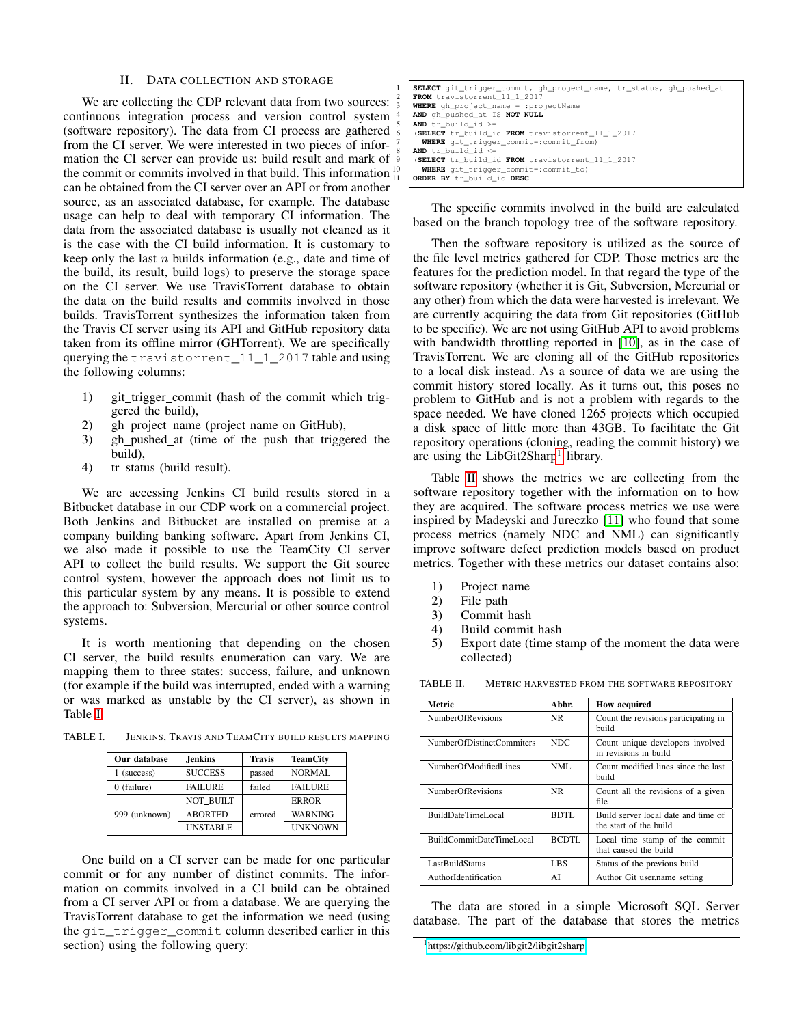### II. DATA COLLECTION AND STORAGE

We are collecting the CDP relevant data from two sources: continuous integration process and version control system 4 (software repository). The data from CI process are gathered  $\frac{3}{6}$ from the CI server. We were interested in two pieces of information the CI server can provide us: build result and mark of the commit or commits involved in that build. This information  $_{11}^{10}$ can be obtained from the CI server over an API or from another source, as an associated database, for example. The database usage can help to deal with temporary CI information. The data from the associated database is usually not cleaned as it is the case with the CI build information. It is customary to keep only the last  $n$  builds information (e.g., date and time of the build, its result, build logs) to preserve the storage space on the CI server. We use TravisTorrent database to obtain the data on the build results and commits involved in those builds. TravisTorrent synthesizes the information taken from the Travis CI server using its API and GitHub repository data taken from its offline mirror (GHTorrent). We are specifically querying the travistorrent\_11\_1\_2017 table and using the following columns:

- 1) git trigger commit (hash of the commit which triggered the build),
- 2) gh\_project\_name (project name on GitHub),
- 3) gh\_pushed\_at (time of the push that triggered the build),
- 4) tr status (build result).

We are accessing Jenkins CI build results stored in a Bitbucket database in our CDP work on a commercial project. Both Jenkins and Bitbucket are installed on premise at a company building banking software. Apart from Jenkins CI, we also made it possible to use the TeamCity CI server API to collect the build results. We support the Git source control system, however the approach does not limit us to this particular system by any means. It is possible to extend the approach to: Subversion, Mercurial or other source control systems.

It is worth mentioning that depending on the chosen CI server, the build results enumeration can vary. We are mapping them to three states: success, failure, and unknown (for example if the build was interrupted, ended with a warning or was marked as unstable by the CI server), as shown in Table [I.](#page-1-0)

TABLE I. JENKINS, TRAVIS AND TEAMCITY BUILD RESULTS MAPPING

<span id="page-1-0"></span>

| Our database<br><b>Jenkins</b> |                  | <b>Travis</b> | <b>TeamCity</b> |  |  |
|--------------------------------|------------------|---------------|-----------------|--|--|
| 1 (success)                    | <b>SUCCESS</b>   | passed        | <b>NORMAL</b>   |  |  |
| 0 (failure)                    | <b>FAILURE</b>   | failed        | <b>FAILURE</b>  |  |  |
|                                | <b>NOT BUILT</b> |               | <b>ERROR</b>    |  |  |
| 999 (unknown)                  | <b>ABORTED</b>   | errored       | <b>WARNING</b>  |  |  |
|                                | <b>UNSTABLE</b>  |               | <b>UNKNOWN</b>  |  |  |

One build on a CI server can be made for one particular commit or for any number of distinct commits. The information on commits involved in a CI build can be obtained from a CI server API or from a database. We are querying the TravisTorrent database to get the information we need (using the git\_trigger\_commit column described earlier in this section) using the following query:

|                | <b>SELECT</b> git trigger commit, gh project name, tr status, gh pushed at |
|----------------|----------------------------------------------------------------------------|
| $\overline{2}$ | FROM travistorrent 11 1 2017                                               |
| 3              | <b>WHERE</b> qh_project_name = :projectName                                |
|                | AND gh pushed at IS NOT NULL                                               |
|                | AND $tr$ build id $>=$                                                     |
| 6              | (SELECT tr build id FROM travistorrent 11 1 2017                           |
|                | <b>WHERE</b> qit trigger commit=: commit from)                             |
| 8              | AND tr build id $\leq$                                                     |
| -9             | (SELECT tr build id FROM travistorrent 11 1 2017                           |
| 10             | <b>WHERE</b> qit triqqer commit=: commit to)                               |
| 11             | ORDER BY tr build id DESC                                                  |

The specific commits involved in the build are calculated based on the branch topology tree of the software repository.

Then the software repository is utilized as the source of the file level metrics gathered for CDP. Those metrics are the features for the prediction model. In that regard the type of the software repository (whether it is Git, Subversion, Mercurial or any other) from which the data were harvested is irrelevant. We are currently acquiring the data from Git repositories (GitHub to be specific). We are not using GitHub API to avoid problems with bandwidth throttling reported in [\[10\]](#page-3-9), as in the case of TravisTorrent. We are cloning all of the GitHub repositories to a local disk instead. As a source of data we are using the commit history stored locally. As it turns out, this poses no problem to GitHub and is not a problem with regards to the space needed. We have cloned 1265 projects which occupied a disk space of little more than 43GB. To facilitate the Git repository operations (cloning, reading the commit history) we are using the LibGit2Sharp<sup>[1](#page-1-1)</sup> library.

Table [II](#page-1-2) shows the metrics we are collecting from the software repository together with the information on to how they are acquired. The software process metrics we use were inspired by Madeyski and Jureczko [\[11\]](#page-3-10) who found that some process metrics (namely NDC and NML) can significantly improve software defect prediction models based on product metrics. Together with these metrics our dataset contains also:

- 1) Project name
- 2) File path
- 3) Commit hash
- 4) Build commit hash
- 5) Export date (time stamp of the moment the data were collected)

<span id="page-1-2"></span>TABLE II. METRIC HARVESTED FROM THE SOFTWARE REPOSITORY

| <b>Metric</b>             | Abbr.       | <b>How acquired</b>                                           |  |
|---------------------------|-------------|---------------------------------------------------------------|--|
| <b>NumberOfRevisions</b>  | NR.         | Count the revisions participating in<br>build                 |  |
| NumberOfDistinctCommiters | NDC.        | Count unique developers involved<br>in revisions in build     |  |
| NumberOfModifiedLines     | NML.        | Count modified lines since the last<br>build                  |  |
| <b>NumberOfRevisions</b>  | NR.         | Count all the revisions of a given<br>file                    |  |
| BuildDateTimeLocal        | <b>BDTL</b> | Build server local date and time of<br>the start of the build |  |
| BuildCommitDateTimeLocal  | BCDTL       | Local time stamp of the commit<br>that caused the build       |  |
| <b>LastBuildStatus</b>    | LBS.        | Status of the previous build                                  |  |
| AuthorIdentification      | AI          | Author Git user name setting                                  |  |

The data are stored in a simple Microsoft SQL Server database. The part of the database that stores the metrics

<span id="page-1-1"></span><sup>1</sup><https://github.com/libgit2/libgit2sharp>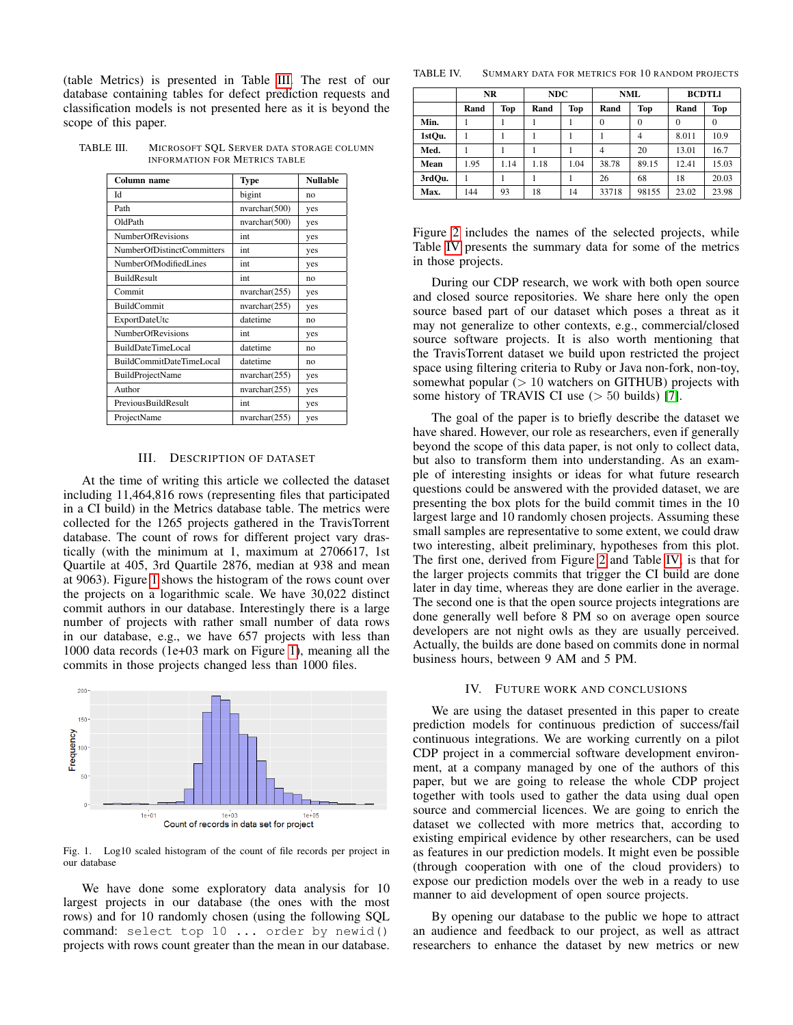(table Metrics) is presented in Table [III.](#page-2-0) The rest of our database containing tables for defect prediction requests and classification models is not presented here as it is beyond the scope of this paper.

<span id="page-2-0"></span>

| Column name                | Type          | <b>Nullable</b> |  |
|----------------------------|---------------|-----------------|--|
| Īđ                         | bigint        | no              |  |
| Path                       | nvarchar(500) | yes             |  |
| OldPath                    | nvarchar(500) | yes             |  |
| <b>NumberOfRevisions</b>   | int           | yes             |  |
| NumberOfDistinctCommitters | int           | yes             |  |
| NumberOfModifiedLines      | int           | yes             |  |
| <b>BuildResult</b>         | int           | no              |  |
| Commit                     | nvarchar(255) | yes             |  |
| BuildCommit                | nvarchar(255) | yes             |  |
| ExportDateUtc              | datetime      | no              |  |
| <b>NumberOfRevisions</b>   | int           | yes             |  |
| BuildDateTimeLocal         | datetime      | no              |  |
| BuildCommitDateTimeLocal   | datetime      | no              |  |
| <b>BuildProjectName</b>    | nvarchar(255) | yes             |  |
| Author                     | nvarchar(255) | yes             |  |
| <b>PreviousBuildResult</b> | int           | yes             |  |
| ProjectName                | nvarchar(255) | yes             |  |

TABLE III. MICROSOFT SOL SERVER DATA STORAGE COLUMN INFORMATION FOR METRICS TABLE

#### III. DESCRIPTION OF DATASET

At the time of writing this article we collected the dataset including 11,464,816 rows (representing files that participated in a CI build) in the Metrics database table. The metrics were collected for the 1265 projects gathered in the TravisTorrent database. The count of rows for different project vary drastically (with the minimum at 1, maximum at 2706617, 1st Quartile at 405, 3rd Quartile 2876, median at 938 and mean at 9063). Figure [1](#page-2-1) shows the histogram of the rows count over the projects on a logarithmic scale. We have 30,022 distinct commit authors in our database. Interestingly there is a large number of projects with rather small number of data rows in our database, e.g., we have 657 projects with less than 1000 data records (1e+03 mark on Figure [1\)](#page-2-1), meaning all the commits in those projects changed less than 1000 files.



<span id="page-2-1"></span>Fig. 1. Log10 scaled histogram of the count of file records per project in our database

We have done some exploratory data analysis for 10 largest projects in our database (the ones with the most rows) and for 10 randomly chosen (using the following SQL command: select top 10 ... order by newid() projects with rows count greater than the mean in our database.

<span id="page-2-2"></span>TABLE IV. SUMMARY DATA FOR METRICS FOR 10 RANDOM PROJECTS

|        | <b>NR</b> |      | <b>NDC</b> |      | <b>NML</b>     |                | <b>BCDTLI</b> |          |
|--------|-----------|------|------------|------|----------------|----------------|---------------|----------|
|        | Rand      | Top  | Rand       | Top  | Rand           | Top            | Rand          | Top      |
| Min.   |           |      |            |      | $\theta$       | $\mathbf{0}$   | $\theta$      | $\Omega$ |
| 1stOu. |           |      |            |      |                | $\overline{4}$ | 8.011         | 10.9     |
| Med.   |           |      |            |      | $\overline{4}$ | 20             | 13.01         | 16.7     |
| Mean   | 1.95      | 1.14 | 1.18       | 1.04 | 38.78          | 89.15          | 12.41         | 15.03    |
| 3rdOu. |           |      |            |      | 26             | 68             | 18            | 20.03    |
| Max.   | 144       | 93   | 18         | 14   | 33718          | 98155          | 23.02         | 23.98    |

Figure [2](#page-3-11) includes the names of the selected projects, while Table [IV](#page-2-2) presents the summary data for some of the metrics in those projects.

During our CDP research, we work with both open source and closed source repositories. We share here only the open source based part of our dataset which poses a threat as it may not generalize to other contexts, e.g., commercial/closed source software projects. It is also worth mentioning that the TravisTorrent dataset we build upon restricted the project space using filtering criteria to Ruby or Java non-fork, non-toy, somewhat popular  $(> 10$  watchers on GITHUB) projects with some history of TRAVIS CI use  $($  > 50 builds) [\[7\]](#page-3-6).

The goal of the paper is to briefly describe the dataset we have shared. However, our role as researchers, even if generally beyond the scope of this data paper, is not only to collect data, but also to transform them into understanding. As an example of interesting insights or ideas for what future research questions could be answered with the provided dataset, we are presenting the box plots for the build commit times in the 10 largest large and 10 randomly chosen projects. Assuming these small samples are representative to some extent, we could draw two interesting, albeit preliminary, hypotheses from this plot. The first one, derived from Figure [2](#page-3-11) and Table [IV,](#page-2-2) is that for the larger projects commits that trigger the CI build are done later in day time, whereas they are done earlier in the average. The second one is that the open source projects integrations are done generally well before 8 PM so on average open source developers are not night owls as they are usually perceived. Actually, the builds are done based on commits done in normal business hours, between 9 AM and 5 PM.

#### IV. FUTURE WORK AND CONCLUSIONS

We are using the dataset presented in this paper to create prediction models for continuous prediction of success/fail continuous integrations. We are working currently on a pilot CDP project in a commercial software development environment, at a company managed by one of the authors of this paper, but we are going to release the whole CDP project together with tools used to gather the data using dual open source and commercial licences. We are going to enrich the dataset we collected with more metrics that, according to existing empirical evidence by other researchers, can be used as features in our prediction models. It might even be possible (through cooperation with one of the cloud providers) to expose our prediction models over the web in a ready to use manner to aid development of open source projects.

By opening our database to the public we hope to attract an audience and feedback to our project, as well as attract researchers to enhance the dataset by new metrics or new